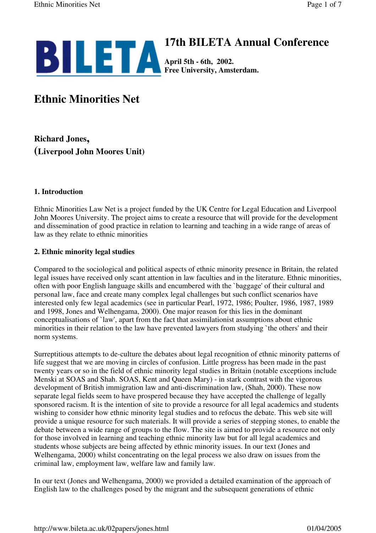

# **17th BILETA Annual Conference**

**April 5th - 6th, 2002. Free University, Amsterdam.**

# **Ethnic Minorities Net**

**Richard Jones, (Liverpool John Moores Unit)**

# **1. Introduction**

Ethnic Minorities Law Net is a project funded by the UK Centre for Legal Education and Liverpool John Moores University. The project aims to create a resource that will provide for the development and dissemination of good practice in relation to learning and teaching in a wide range of areas of law as they relate to ethnic minorities

# **2. Ethnic minority legal studies**

Compared to the sociological and political aspects of ethnic minority presence in Britain, the related legal issues have received only scant attention in law faculties and in the literature. Ethnic minorities, often with poor English language skills and encumbered with the `baggage' of their cultural and personal law, face and create many complex legal challenges but such conflict scenarios have interested only few legal academics (see in particular Pearl, 1972, 1986; Poulter, 1986, 1987, 1989 and 1998, Jones and Welhengama, 2000). One major reason for this lies in the dominant conceptualisations of `law', apart from the fact that assimilationist assumptions about ethnic minorities in their relation to the law have prevented lawyers from studying `the others' and their norm systems.

Surreptitious attempts to de-culture the debates about legal recognition of ethnic minority patterns of life suggest that we are moving in circles of confusion. Little progress has been made in the past twenty years or so in the field of ethnic minority legal studies in Britain (notable exceptions include Menski at SOAS and Shah. SOAS, Kent and Queen Mary) - in stark contrast with the vigorous development of British immigration law and anti-discrimination law, (Shah, 2000). These now separate legal fields seem to have prospered because they have accepted the challenge of legally sponsored racism. It is the intention of site to provide a resource for all legal academics and students wishing to consider how ethnic minority legal studies and to refocus the debate. This web site will provide a unique resource for such materials. It will provide a series of stepping stones, to enable the debate between a wide range of groups to the flow. The site is aimed to provide a resource not only for those involved in learning and teaching ethnic minority law but for all legal academics and students whose subjects are being affected by ethnic minority issues. In our text (Jones and Welhengama, 2000) whilst concentrating on the legal process we also draw on issues from the criminal law, employment law, welfare law and family law.

In our text (Jones and Welhengama, 2000) we provided a detailed examination of the approach of English law to the challenges posed by the migrant and the subsequent generations of ethnic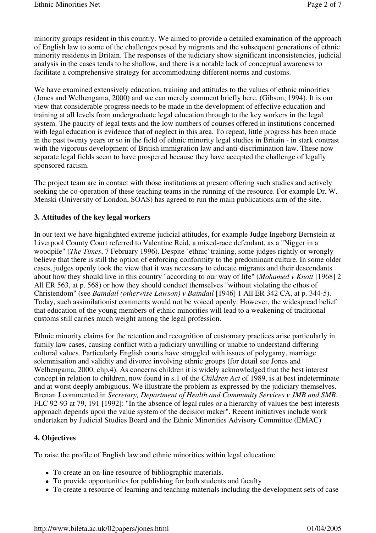minority groups resident in this country. We aimed to provide a detailed examination of the approach of English law to some of the challenges posed by migrants and the subsequent generations of ethnic minority residents in Britain. The responses of the judiciary show significant inconsistencies, judicial analysis in the cases tends to be shallow, and there is a notable lack of conceptual awareness to facilitate a comprehensive strategy for accommodating different norms and customs.

We have examined extensively education, training and attitudes to the values of ethnic minorities (Jones and Welhengama, 2000) and we can merely comment briefly here, (Gibson, 1994). It is our view that considerable progress needs to be made in the development of effective education and training at all levels from undergraduate legal education through to the key workers in the legal system. The paucity of legal texts and the low numbers of courses offered in institutions concerned with legal education is evidence that of neglect in this area. To repeat, little progress has been made in the past twenty years or so in the field of ethnic minority legal studies in Britain - in stark contrast with the vigorous development of British immigration law and anti-discrimination law. These now separate legal fields seem to have prospered because they have accepted the challenge of legally sponsored racism.

The project team are in contact with those institutions at present offering such studies and actively seeking the co-operation of these teaching teams in the running of the resource. For example Dr. W. Menski (University of London, SOAS) has agreed to run the main publications arm of the site.

#### **3. Attitudes of the key legal workers**

In our text we have highlighted extreme judicial attitudes, for example Judge Ingeborg Bernstein at Liverpool County Court referred to Valentine Reid, a mixed-race defendant, as a "Nigger in a woodpile" (*The Times*, 7 February 1996). Despite `ethnic' training, some judges rightly or wrongly believe that there is still the option of enforcing conformity to the predominant culture. In some older cases, judges openly took the view that it was necessary to educate migrants and their descendants about how they should live in this country "according to our way of life" (*Mohamed v Knott* [1968] 2 All ER 563, at p. 568) or how they should conduct themselves "without violating the ethos of Christendom" (see *Baindail (otherwise Lawson) v Baindail* [1946] 1 All ER 342 CA, at p. 344-5). Today, such assimilationist comments would not be voiced openly. However, the widespread belief that education of the young members of ethnic minorities will lead to a weakening of traditional customs still carries much weight among the legal profession.

Ethnic minority claims for the retention and recognition of customary practices arise particularly in family law cases, causing conflict with a judiciary unwilling or unable to understand differing cultural values. Particularly English courts have struggled with issues of polygamy, marriage solemnisation and validity and divorce involving ethnic groups (for detail see Jones and Welhengama, 2000, chp.4). As concerns children it is widely acknowledged that the best interest concept in relation to children, now found in s.1 of the *Children Act* of 1989, is at best indeterminate and at worst deeply ambiguous. We illustrate the problem as expressed by the judiciary themselves. Brenan J commented in *Secretary, Department of Health and Community Services v JMB and SMB*, FLC 92-93 at 79, 191 [1992]: "In the absence of legal rules or a hierarchy of values the best interests approach depends upon the value system of the decision maker". Recent initiatives include work undertaken by Judicial Studies Board and the Ethnic Minorities Advisory Committee (EMAC)

#### **4. Objectives**

To raise the profile of English law and ethnic minorities within legal education:

- To create an on-line resource of bibliographic materials.
- To provide opportunities for publishing for both students and faculty
- To create a resource of learning and teaching materials including the development sets of case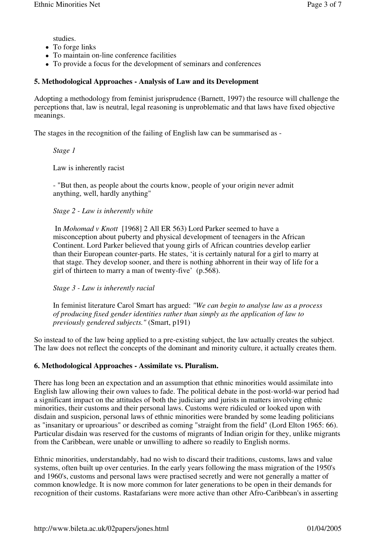studies.

- To forge links
- To maintain on-line conference facilities
- To provide a focus for the development of seminars and conferences

### **5. Methodological Approaches - Analysis of Law and its Development**

Adopting a methodology from feminist jurisprudence (Barnett, 1997) the resource will challenge the perceptions that, law is neutral, legal reasoning is unproblematic and that laws have fixed objective meanings.

The stages in the recognition of the failing of English law can be summarised as -

*Stage 1*

Law is inherently racist

- "But then, as people about the courts know, people of your origin never admit anything, well, hardly anything"

*Stage 2 - Law is inherently white*

In *Mohomad v Knott* [1968] 2 All ER 563) Lord Parker seemed to have a misconception about puberty and physical development of teenagers in the African Continent. Lord Parker believed that young girls of African countries develop earlier than their European counter-parts. He states, 'it is certainly natural for a girl to marry at that stage. They develop sooner, and there is nothing abhorrent in their way of life for a girl of thirteen to marry a man of twenty-five' (p.568).

*Stage 3 - Law is inherently racial*

In feminist literature Carol Smart has argued: *"We can begin to analyse law as a process of producing fixed gender identities rather than simply as the application of law to previously gendered subjects."* (Smart, p191)

So instead to of the law being applied to a pre-existing subject, the law actually creates the subject. The law does not reflect the concepts of the dominant and minority culture, it actually creates them.

# **6. Methodological Approaches - Assimilate vs. Pluralism.**

There has long been an expectation and an assumption that ethnic minorities would assimilate into English law allowing their own values to fade. The political debate in the post-world-war period had a significant impact on the attitudes of both the judiciary and jurists in matters involving ethnic minorities, their customs and their personal laws. Customs were ridiculed or looked upon with disdain and suspicion, personal laws of ethnic minorities were branded by some leading politicians as "insanitary or uproarious" or described as coming "straight from the field" (Lord Elton 1965: 66). Particular disdain was reserved for the customs of migrants of Indian origin for they, unlike migrants from the Caribbean, were unable or unwilling to adhere so readily to English norms.

Ethnic minorities, understandably, had no wish to discard their traditions, customs, laws and value systems, often built up over centuries. In the early years following the mass migration of the 1950's and 1960's, customs and personal laws were practised secretly and were not generally a matter of common knowledge. It is now more common for later generations to be open in their demands for recognition of their customs. Rastafarians were more active than other Afro-Caribbean's in asserting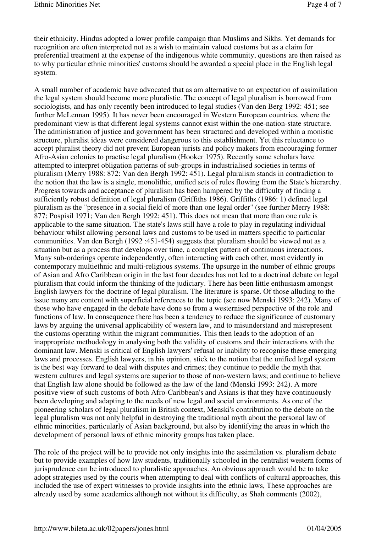their ethnicity. Hindus adopted a lower profile campaign than Muslims and Sikhs. Yet demands for recognition are often interpreted not as a wish to maintain valued customs but as a claim for preferential treatment at the expense of the indigenous white community, questions are then raised as to why particular ethnic minorities' customs should be awarded a special place in the English legal system.

A small number of academic have advocated that as am alternative to an expectation of assimilation the legal system should become more pluralistic. The concept of legal pluralism is borrowed from sociologists, and has only recently been introduced to legal studies (Van den Berg 1992: 451; see further McLennan 1995). It has never been encouraged in Western European countries, where the predominant view is that different legal systems cannot exist within the one-nation-state structure. The administration of justice and government has been structured and developed within a monistic structure, pluralist ideas were considered dangerous to this establishment. Yet this reluctance to accept pluralist theory did not prevent European jurists and policy makers from encouraging former Afro-Asian colonies to practise legal pluralism (Hooker 1975). Recently some scholars have attempted to interpret obligation patterns of sub-groups in industrialised societies in terms of pluralism (Merry 1988: 872: Van den Bergh 1992: 451). Legal pluralism stands in contradiction to the notion that the law is a single, monolithic, unified sets of rules flowing from the State's hierarchy. Progress towards and acceptance of pluralism has been hampered by the difficulty of finding a sufficiently robust definition of legal pluralism (Griffiths 1986). Griffiths (1986: 1) defined legal pluralism as the "presence in a social field of more than one legal order" (see further Merry 1988: 877; Pospisil 1971; Van den Bergh 1992: 451). This does not mean that more than one rule is applicable to the same situation. The state's laws still have a role to play in regulating individual behaviour whilst allowing personal laws and customs to be used in matters specific to particular communities. Van den Bergh (1992 :451-454) suggests that pluralism should be viewed not as a situation but as a process that develops over time, a complex pattern of continuous interactions. Many sub-orderings operate independently, often interacting with each other, most evidently in contemporary multiethnic and multi-religious systems. The upsurge in the number of ethnic groups of Asian and Afro Caribbean origin in the last four decades has not led to a doctrinal debate on legal pluralism that could inform the thinking of the judiciary. There has been little enthusiasm amongst English lawyers for the doctrine of legal pluralism. The literature is sparse. Of those alluding to the issue many are content with superficial references to the topic (see now Menski 1993: 242). Many of those who have engaged in the debate have done so from a westernised perspective of the role and functions of law. In consequence there has been a tendency to reduce the significance of customary laws by arguing the universal applicability of western law, and to misunderstand and misrepresent the customs operating within the migrant communities. This then leads to the adoption of an inappropriate methodology in analysing both the validity of customs and their interactions with the dominant law. Menski is critical of English lawyers' refusal or inability to recognise these emerging laws and processes. English lawyers, in his opinion, stick to the notion that the unified legal system is the best way forward to deal with disputes and crimes; they continue to peddle the myth that western cultures and legal systems are superior to those of non-western laws; and continue to believe that English law alone should be followed as the law of the land (Menski 1993: 242). A more positive view of such customs of both Afro-Caribbean's and Asians is that they have continuously been developing and adapting to the needs of new legal and social environments. As one of the pioneering scholars of legal pluralism in British context, Menski's contribution to the debate on the legal pluralism was not only helpful in destroying the traditional myth about the personal law of ethnic minorities, particularly of Asian background, but also by identifying the areas in which the development of personal laws of ethnic minority groups has taken place.

The role of the project will be to provide not only insights into the assimilation vs. pluralism debate but to provide examples of how law students, traditionally schooled in the centralist western forms of jurisprudence can be introduced to pluralistic approaches. An obvious approach would be to take adopt strategies used by the courts when attempting to deal with conflicts of cultural approaches, this included the use of expert witnesses to provide insights into the ethnic laws, These approaches are already used by some academics although not without its difficulty, as Shah comments (2002),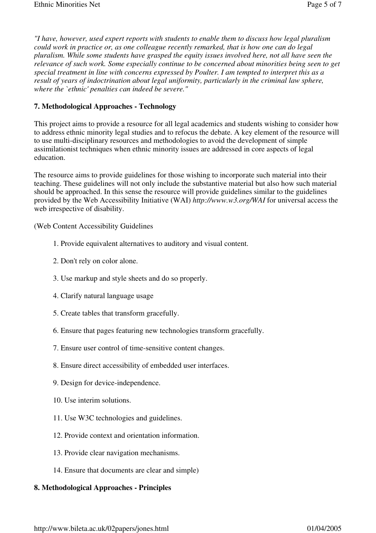*"I have, however, used expert reports with students to enable them to discuss how legal pluralism could work in practice or, as one colleague recently remarked, that is how one can do legal pluralism. While some students have grasped the equity issues involved here, not all have seen the relevance of such work. Some especially continue to be concerned about minorities being seen to get special treatment in line with concerns expressed by Poulter. I am tempted to interpret this as a result of years of indoctrination about legal uniformity, particularly in the criminal law sphere, where the `ethnic' penalties can indeed be severe."*

#### **7. Methodological Approaches - Technology**

This project aims to provide a resource for all legal academics and students wishing to consider how to address ethnic minority legal studies and to refocus the debate. A key element of the resource will to use multi-disciplinary resources and methodologies to avoid the development of simple assimilationist techniques when ethnic minority issues are addressed in core aspects of legal education.

The resource aims to provide guidelines for those wishing to incorporate such material into their teaching. These guidelines will not only include the substantive material but also how such material should be approached. In this sense the resource will provide guidelines similar to the guidelines provided by the Web Accessibility Initiative (WAI) *http://www.w3.org/WAI* for universal access the web irrespective of disability.

(Web Content Accessibility Guidelines

- 1. Provide equivalent alternatives to auditory and visual content.
- 2. Don't rely on color alone.
- 3. Use markup and style sheets and do so properly.
- 4. Clarify natural language usage
- 5. Create tables that transform gracefully.
- 6. Ensure that pages featuring new technologies transform gracefully.
- 7. Ensure user control of time-sensitive content changes.
- 8. Ensure direct accessibility of embedded user interfaces.
- 9. Design for device-independence.
- 10. Use interim solutions.
- 11. Use W3C technologies and guidelines.
- 12. Provide context and orientation information.
- 13. Provide clear navigation mechanisms.
- 14. Ensure that documents are clear and simple)

#### **8. Methodological Approaches - Principles**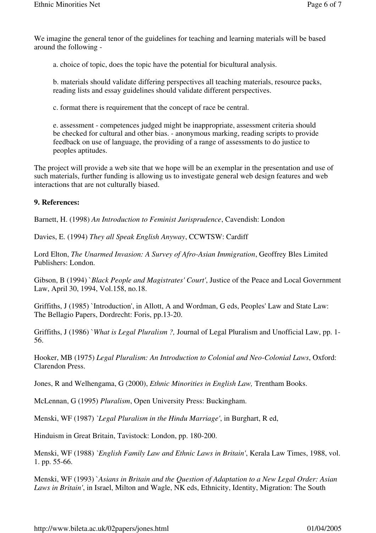We imagine the general tenor of the guidelines for teaching and learning materials will be based around the following -

a. choice of topic, does the topic have the potential for bicultural analysis.

b. materials should validate differing perspectives all teaching materials, resource packs, reading lists and essay guidelines should validate different perspectives.

c. format there is requirement that the concept of race be central.

e. assessment - competences judged might be inappropriate, assessment criteria should be checked for cultural and other bias. - anonymous marking, reading scripts to provide feedback on use of language, the providing of a range of assessments to do justice to peoples aptitudes.

The project will provide a web site that we hope will be an exemplar in the presentation and use of such materials, further funding is allowing us to investigate general web design features and web interactions that are not culturally biased.

#### **9. References:**

Barnett, H. (1998) *An Introduction to Feminist Jurisprudence*, Cavendish: London

Davies, E. (1994) *They all Speak English Anyway*, CCWTSW: Cardiff

Lord Elton, *The Unarmed Invasion: A Survey of Afro-Asian Immigration*, Geoffrey Bles Limited Publishers: London.

Gibson, B (1994) `*Black People and Magistrates' Court'*, Justice of the Peace and Local Government Law, April 30, 1994, Vol.158, no.18.

Griffiths, J (1985) 'Introduction', in Allott, A and Wordman, G eds, Peoples' Law and State Law: The Bellagio Papers, Dordrecht: Foris, pp.13-20.

Griffiths, J (1986) `*What is Legal Pluralism ?,* Journal of Legal Pluralism and Unofficial Law, pp. 1- 56.

Hooker, MB (1975) *Legal Pluralism: An Introduction to Colonial and Neo-Colonial Laws*, Oxford: Clarendon Press.

Jones, R and Welhengama, G (2000), *Ethnic Minorities in English Law,* Trentham Books.

McLennan, G (1995) *Pluralism*, Open University Press: Buckingham.

Menski, WF (1987) *`Legal Pluralism in the Hindu Marriage'*, in Burghart, R ed,

Hinduism in Great Britain, Tavistock: London, pp. 180-200.

Menski, WF (1988) *`English Family Law and Ethnic Laws in Britain'*, Kerala Law Times, 1988, vol. 1. pp. 55-66.

Menski, WF (1993) `*Asians in Britain and the Question of Adaptation to a New Legal Order: Asian Laws in Britain'*, in Israel, Milton and Wagle, NK eds, Ethnicity, Identity, Migration: The South